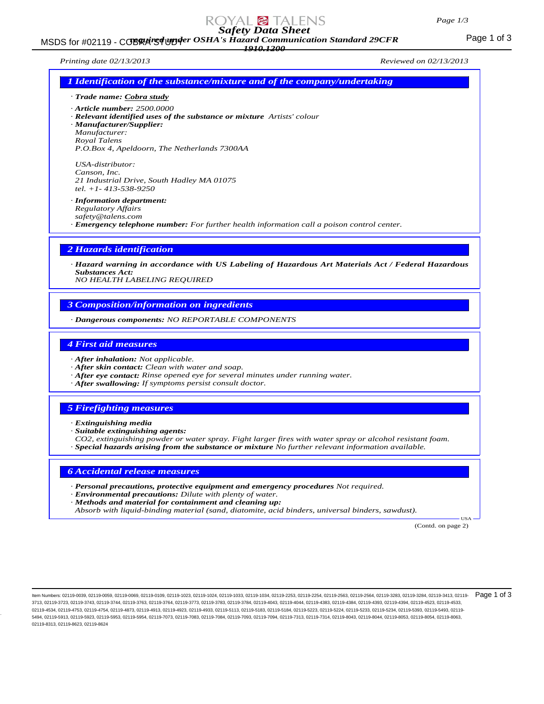# *Safety Data Sheet*

MSDS for #02119 - COBRA REA UPP of 3 Mazard Communication Standard 29CFR<br>MSDS for #02119 - COBRA REA UPP of 3 *1910.1200*

*Printing date 02/13/2013 Reviewed on 02/13/2013*

| [attification of the substance/mixture and of the company/undertaking] |
|------------------------------------------------------------------------|
| Trade name: Cobra study                                                |

*· Article number: 2500.0000*

*· Relevant identified uses of the substance or mixture Artists' colour · Manufacturer/Supplier:*

*Manufacturer: Royal Talens*

*P.O.Box 4, Apeldoorn, The Netherlands 7300AA*

*USA-distributor: Canson, Inc. 21 Industrial Drive, South Hadley MA 01075 tel. +1- 413-538-9250*

*· Information department:*

*Regulatory Affairs safety@talens.com*

*· Emergency telephone number: For further health information call a poison control center.*

### *2 Hazards identification*

*· Hazard warning in accordance with US Labeling of Hazardous Art Materials Act / Federal Hazardous Substances Act:*

*NO HEALTH LABELING REQUIRED*

# *3 Composition/information on ingredients*

*· Dangerous components: NO REPORTABLE COMPONENTS*

### *4 First aid measures*

- *· After inhalation: Not applicable.*
- *· After skin contact: Clean with water and soap.*
- *· After eye contact: Rinse opened eye for several minutes under running water.*
- *· After swallowing: If symptoms persist consult doctor.*

# *5 Firefighting measures*

*· Extinguishing media*

- *· Suitable extinguishing agents:*
- *CO2, extinguishing powder or water spray. Fight larger fires with water spray or alcohol resistant foam.*
- *· Special hazards arising from the substance or mixture No further relevant information available.*

# *6 Accidental release measures*

- *· Personal precautions, protective equipment and emergency procedures Not required.*
- *· Environmental precautions: Dilute with plenty of water.*
- *· Methods and material for containment and cleaning up:*

*Absorb with liquid-binding material (sand, diatomite, acid binders, universal binders, sawdust).*

(Contd. on page 2)

USA

ltem Numbers: 02119-0039, 02119-0059, 02119-0069, 02119-0109, 02119-1023, 02119-1024, 02119-1033, 02119-1034, 02119-253, 02119-2254, 02119-2563, 02119-2564, 02119-2564, 02119-2584, 02119-3283, 02119-3284, 02119-3284, 02119 3713, 02119-3723, 02119-3743, 02119-3744, 02119-3763, 02119-3764, 02119-3773, 02119-3783, 02119-3784, 02119-4043, 02119-4044, 02119-4383, 02119-4384, 02119-4393, 02119-4394, 02119-4523, 02119-4533, 02119-4534, 02119-4753, 02119-4754, 02119-4873, 02119-4913, 02119-4923, 02119-4933, 02119-5113, 02119-5183, 02119-5184, 02119-5223, 02119-5224, 02119-5233, 02119-5234, 02119-5393, 02119-5493, 02119- 5494, 02119-5913, 02119-5923, 02119-5953, 02119-5954, 02119-7073, 02119-7083, 02119-7084, 02119-7084, 02119-7083, 02119-7094, 02119-7313, 02119-7314, 02119-8043, 02119-8044, 02119-8053, 02119-8054, 02119-8054, 02119-8053, 0 02119-8313, 02119-8623, 02119-8624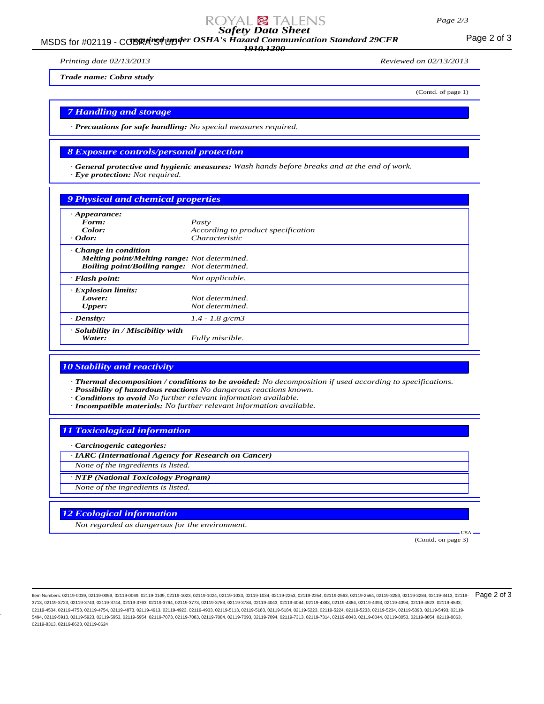#### *Page 2/3*

# *Safety Data Sheet*

MSDS for #02119 - COBRA REA UPP of a Maxard Communication Standard 29CFR<br>MSDS for #02119 - COBRA REA UPP of a Maxard Communication Standard 29CFR

*1910.1200*

*Printing date 02/13/2013 Reviewed on 02/13/2013*

*Trade name: Cobra study*

(Contd. of page 1)

### *7 Handling and storage*

*· Precautions for safe handling: No special measures required.*

#### *8 Exposure controls/personal protection*

*· General protective and hygienic measures: Wash hands before breaks and at the end of work. · Eye protection: Not required.*

#### *9 Physical and chemical properties*

| $\cdot$ Appearance:                                 |                                    |
|-----------------------------------------------------|------------------------------------|
| Form:                                               | Pasty                              |
| Color:                                              | According to product specification |
| $\cdot$ Odor:                                       | Characteristic                     |
| $\cdot$ Change in condition                         |                                    |
| <b>Melting point/Melting range:</b> Not determined. |                                    |
| <b>Boiling point/Boiling range:</b> Not determined. |                                    |
| $\cdot$ Flash point:                                | Not applicable.                    |
| <b>Explosion limits:</b>                            |                                    |
| Lower:                                              | Not determined.                    |
| Upper:                                              | Not determined.                    |
| $\cdot$ Density:                                    | $1.4 - 1.8$ g/cm3                  |
| · Solubility in / Miscibility with                  |                                    |
| Water:                                              | Fully miscible.                    |

### *10 Stability and reactivity*

*· Thermal decomposition / conditions to be avoided: No decomposition if used according to specifications.*

- *· Possibility of hazardous reactions No dangerous reactions known.*
- *· Conditions to avoid No further relevant information available.*
- *· Incompatible materials: No further relevant information available.*

#### *11 Toxicological information*

*· Carcinogenic categories:*

*· IARC (International Agency for Research on Cancer)*

*None of the ingredients is listed.*

*· NTP (National Toxicology Program)*

*None of the ingredients is listed.*

### *12 Ecological information*

*Not regarded as dangerous for the environment.*

(Contd. on page 3)

USA

ltem Numbers: 02119-0039, 02119-0059, 02119-0069, 02119-0109, 02119-1023, 02119-1024, 02119-1033, 02119-1034, 02119-253, 02119-2254, 02119-2563, 02119-2564, 02119-2564, 02119-2584, 02119-3283, 02119-3284, 02119-3284, 02119 3713, 02119-3723, 02119-3743, 02119-3744, 02119-3763, 02119-3764, 02119-3773, 02119-3783, 02119-3784, 02119-4043, 02119-4044, 02119-4383, 02119-4384, 02119-4393, 02119-4394, 02119-4523, 02119-4533, 02119-4534, 02119-4753, 02119-4754, 02119-4873, 02119-4913, 02119-4923, 02119-4933, 02119-5113, 02119-5183, 02119-5184, 02119-5223, 02119-5224, 02119-5233, 02119-5234, 02119-5393, 02119-5493, 02119- 5494, 02119-5913, 02119-5923, 02119-5953, 02119-5954, 02119-7073, 02119-7083, 02119-7084, 02119-7093, 02119-7094, 02119-7313, 02119-7314, 02119-8043, 02119-8044, 02119-8053, 02119-8054, 02119-8063, 02119-8313, 02119-8623, 02119-8624